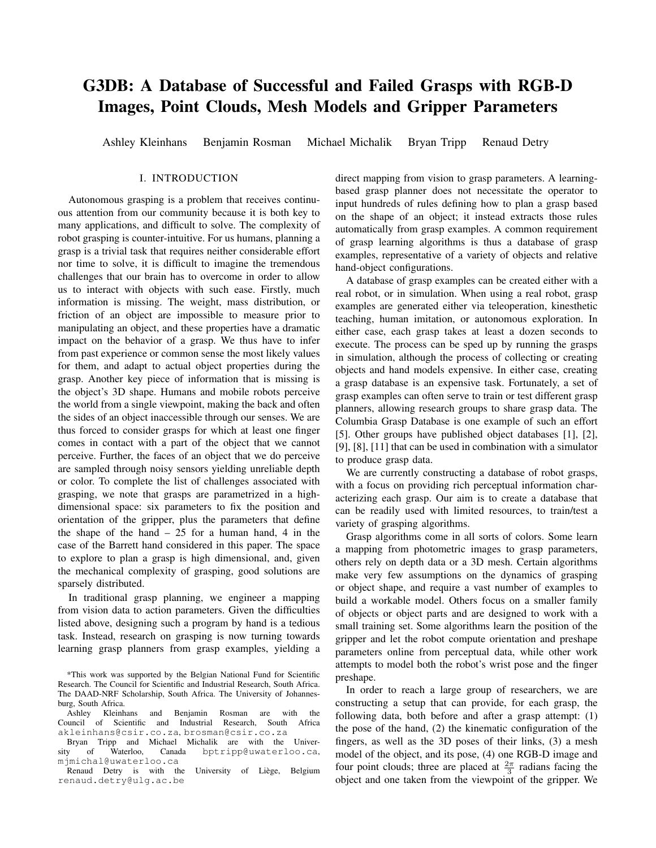# G3DB: A Database of Successful and Failed Grasps with RGB-D Images, Point Clouds, Mesh Models and Gripper Parameters

Ashley Kleinhans Benjamin Rosman Michael Michalik Bryan Tripp Renaud Detry

## I. INTRODUCTION

Autonomous grasping is a problem that receives continuous attention from our community because it is both key to many applications, and difficult to solve. The complexity of robot grasping is counter-intuitive. For us humans, planning a grasp is a trivial task that requires neither considerable effort nor time to solve, it is difficult to imagine the tremendous challenges that our brain has to overcome in order to allow us to interact with objects with such ease. Firstly, much information is missing. The weight, mass distribution, or friction of an object are impossible to measure prior to manipulating an object, and these properties have a dramatic impact on the behavior of a grasp. We thus have to infer from past experience or common sense the most likely values for them, and adapt to actual object properties during the grasp. Another key piece of information that is missing is the object's 3D shape. Humans and mobile robots perceive the world from a single viewpoint, making the back and often the sides of an object inaccessible through our senses. We are thus forced to consider grasps for which at least one finger comes in contact with a part of the object that we cannot perceive. Further, the faces of an object that we do perceive are sampled through noisy sensors yielding unreliable depth or color. To complete the list of challenges associated with grasping, we note that grasps are parametrized in a highdimensional space: six parameters to fix the position and orientation of the gripper, plus the parameters that define the shape of the hand  $-25$  for a human hand, 4 in the case of the Barrett hand considered in this paper. The space to explore to plan a grasp is high dimensional, and, given the mechanical complexity of grasping, good solutions are sparsely distributed.

In traditional grasp planning, we engineer a mapping from vision data to action parameters. Given the difficulties listed above, designing such a program by hand is a tedious task. Instead, research on grasping is now turning towards learning grasp planners from grasp examples, yielding a direct mapping from vision to grasp parameters. A learningbased grasp planner does not necessitate the operator to input hundreds of rules defining how to plan a grasp based on the shape of an object; it instead extracts those rules automatically from grasp examples. A common requirement of grasp learning algorithms is thus a database of grasp examples, representative of a variety of objects and relative hand-object configurations.

A database of grasp examples can be created either with a real robot, or in simulation. When using a real robot, grasp examples are generated either via teleoperation, kinesthetic teaching, human imitation, or autonomous exploration. In either case, each grasp takes at least a dozen seconds to execute. The process can be sped up by running the grasps in simulation, although the process of collecting or creating objects and hand models expensive. In either case, creating a grasp database is an expensive task. Fortunately, a set of grasp examples can often serve to train or test different grasp planners, allowing research groups to share grasp data. The Columbia Grasp Database is one example of such an effort [5]. Other groups have published object databases [1], [2], [9], [8], [11] that can be used in combination with a simulator to produce grasp data.

We are currently constructing a database of robot grasps, with a focus on providing rich perceptual information characterizing each grasp. Our aim is to create a database that can be readily used with limited resources, to train/test a variety of grasping algorithms.

Grasp algorithms come in all sorts of colors. Some learn a mapping from photometric images to grasp parameters, others rely on depth data or a 3D mesh. Certain algorithms make very few assumptions on the dynamics of grasping or object shape, and require a vast number of examples to build a workable model. Others focus on a smaller family of objects or object parts and are designed to work with a small training set. Some algorithms learn the position of the gripper and let the robot compute orientation and preshape parameters online from perceptual data, while other work attempts to model both the robot's wrist pose and the finger preshape.

In order to reach a large group of researchers, we are constructing a setup that can provide, for each grasp, the following data, both before and after a grasp attempt: (1) the pose of the hand, (2) the kinematic configuration of the fingers, as well as the 3D poses of their links, (3) a mesh model of the object, and its pose, (4) one RGB-D image and four point clouds; three are placed at  $\frac{2\pi}{3}$  radians facing the object and one taken from the viewpoint of the gripper. We

<sup>\*</sup>This work was supported by the Belgian National Fund for Scientific Research. The Council for Scientific and Industrial Research, South Africa. The DAAD-NRF Scholarship, South Africa. The University of Johannesburg, South Africa.

Ashley Kleinhans and Benjamin Rosman are with the Council of Scientific and Industrial Research, South Africa akleinhans@csir.co.za, brosman@csir.co.za

Bryan Tripp and Michael Michalik are with the Univer-<br>y of Waterloo, Canada bptripp@uwaterloo.ca, sity of Waterloo, Canada bptripp@uwaterloo.ca, mjmichal@uwaterloo.ca

Renaud Detry is with the University of Liège, Belgium renaud.detry@ulg.ac.be